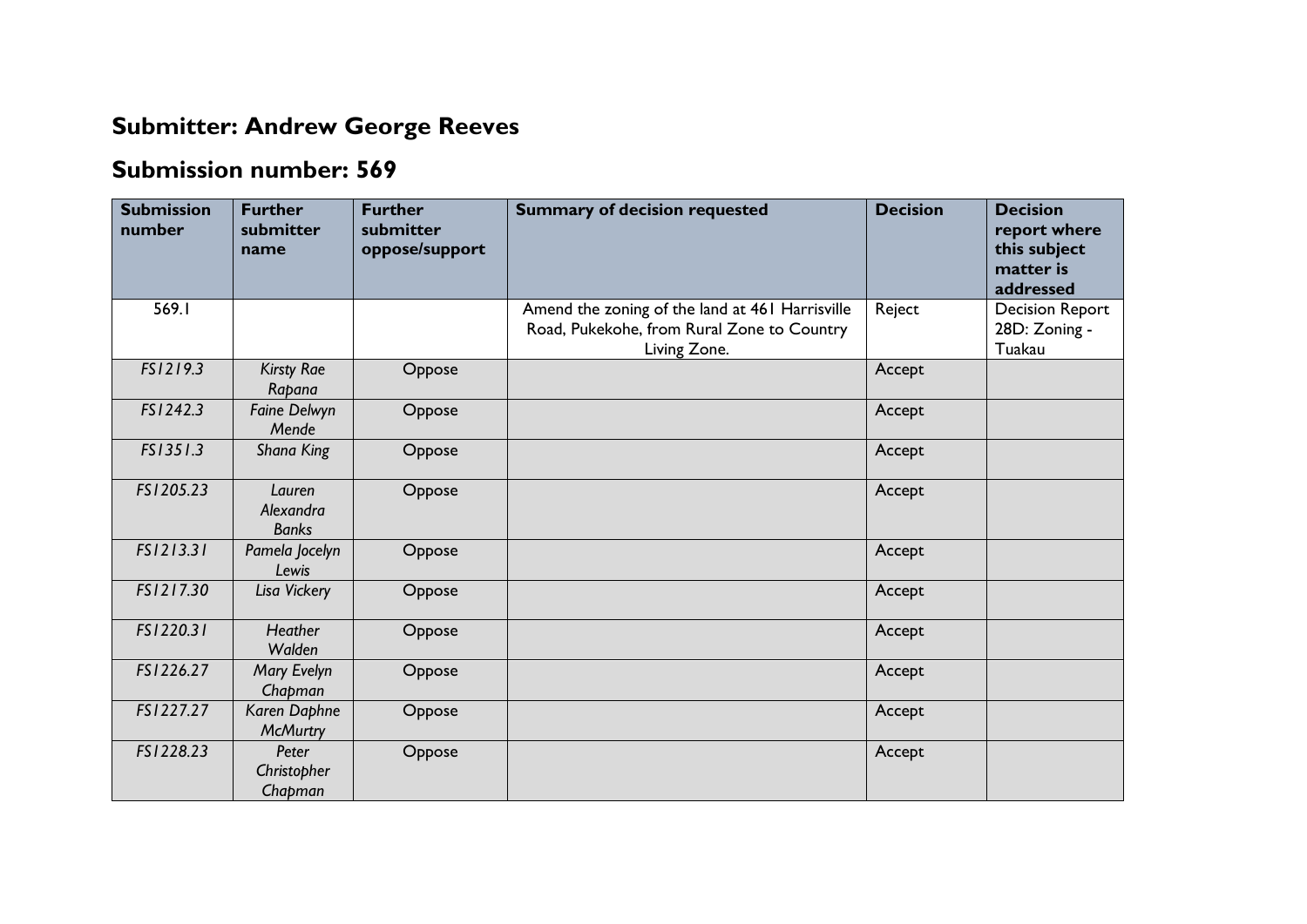## **Submitter: Andrew George Reeves**

## **Submission number: 569**

| <b>Submission</b><br>number | <b>Further</b><br>submitter<br>name | <b>Further</b><br>submitter<br>oppose/support | <b>Summary of decision requested</b>                                                                          | <b>Decision</b> | <b>Decision</b><br>report where<br>this subject<br>matter is<br>addressed |
|-----------------------------|-------------------------------------|-----------------------------------------------|---------------------------------------------------------------------------------------------------------------|-----------------|---------------------------------------------------------------------------|
| 569.I                       |                                     |                                               | Amend the zoning of the land at 461 Harrisville<br>Road, Pukekohe, from Rural Zone to Country<br>Living Zone. | Reject          | <b>Decision Report</b><br>28D: Zoning -<br>Tuakau                         |
| FS1219.3                    | <b>Kirsty Rae</b><br>Rapana         | Oppose                                        |                                                                                                               | Accept          |                                                                           |
| FS1242.3                    | <b>Faine Delwyn</b><br>Mende        | Oppose                                        |                                                                                                               | Accept          |                                                                           |
| FS1351.3                    | Shana King                          | Oppose                                        |                                                                                                               | Accept          |                                                                           |
| FS1205.23                   | Lauren<br>Alexandra<br><b>Banks</b> | Oppose                                        |                                                                                                               | Accept          |                                                                           |
| FS1213.31                   | Pamela Jocelyn<br>Lewis             | Oppose                                        |                                                                                                               | Accept          |                                                                           |
| FS1217.30                   | Lisa Vickery                        | Oppose                                        |                                                                                                               | Accept          |                                                                           |
| FS1220.31                   | <b>Heather</b><br>Walden            | Oppose                                        |                                                                                                               | Accept          |                                                                           |
| FS1226.27                   | <b>Mary Evelyn</b><br>Chapman       | Oppose                                        |                                                                                                               | Accept          |                                                                           |
| FS1227.27                   | Karen Daphne<br><b>McMurtry</b>     | Oppose                                        |                                                                                                               | Accept          |                                                                           |
| FS1228.23                   | Peter<br>Christopher<br>Chapman     | Oppose                                        |                                                                                                               | Accept          |                                                                           |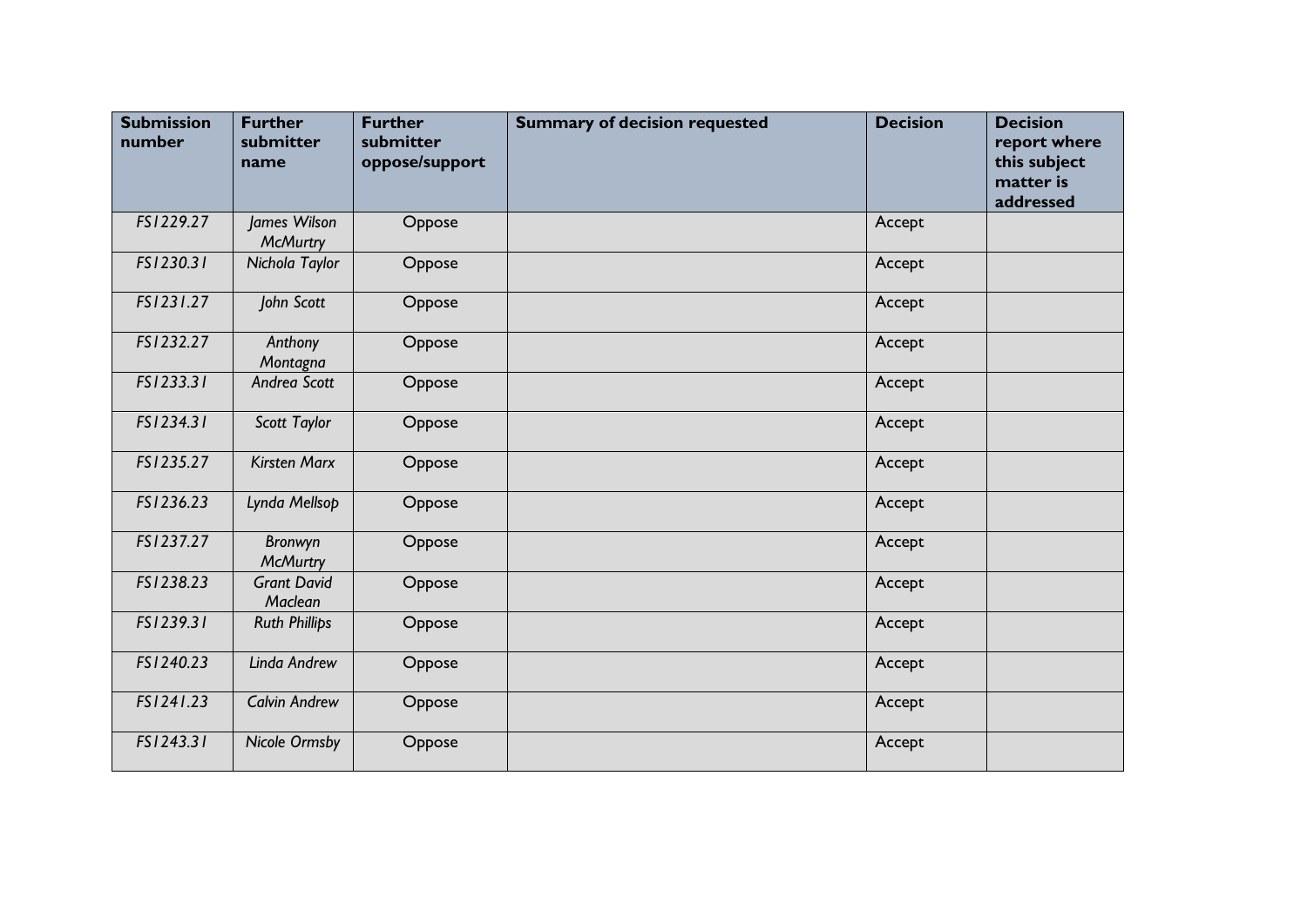| <b>Submission</b><br>number | <b>Further</b><br>submitter<br>name | <b>Further</b><br>submitter<br>oppose/support | <b>Summary of decision requested</b> | <b>Decision</b> | <b>Decision</b><br>report where<br>this subject<br>matter is<br>addressed |
|-----------------------------|-------------------------------------|-----------------------------------------------|--------------------------------------|-----------------|---------------------------------------------------------------------------|
| FS1229.27                   | James Wilson<br><b>McMurtry</b>     | Oppose                                        |                                      | Accept          |                                                                           |
| FS1230.31                   | Nichola Taylor                      | Oppose                                        |                                      | Accept          |                                                                           |
| FS1231.27                   | John Scott                          | Oppose                                        |                                      | Accept          |                                                                           |
| FS1232.27                   | Anthony<br>Montagna                 | Oppose                                        |                                      | Accept          |                                                                           |
| FS1233.31                   | Andrea Scott                        | Oppose                                        |                                      | Accept          |                                                                           |
| FS1234.31                   | Scott Taylor                        | Oppose                                        |                                      | Accept          |                                                                           |
| FS1235.27                   | <b>Kirsten Marx</b>                 | Oppose                                        |                                      | Accept          |                                                                           |
| FS1236.23                   | Lynda Mellsop                       | Oppose                                        |                                      | Accept          |                                                                           |
| FS1237.27                   | Bronwyn<br><b>McMurtry</b>          | Oppose                                        |                                      | Accept          |                                                                           |
| FS1238.23                   | <b>Grant David</b><br>Maclean       | Oppose                                        |                                      | Accept          |                                                                           |
| FS1239.31                   | <b>Ruth Phillips</b>                | Oppose                                        |                                      | Accept          |                                                                           |
| FS1240.23                   | Linda Andrew                        | Oppose                                        |                                      | Accept          |                                                                           |
| FS1241.23                   | <b>Calvin Andrew</b>                | Oppose                                        |                                      | Accept          |                                                                           |
| FS1243.31                   | <b>Nicole Ormsby</b>                | Oppose                                        |                                      | Accept          |                                                                           |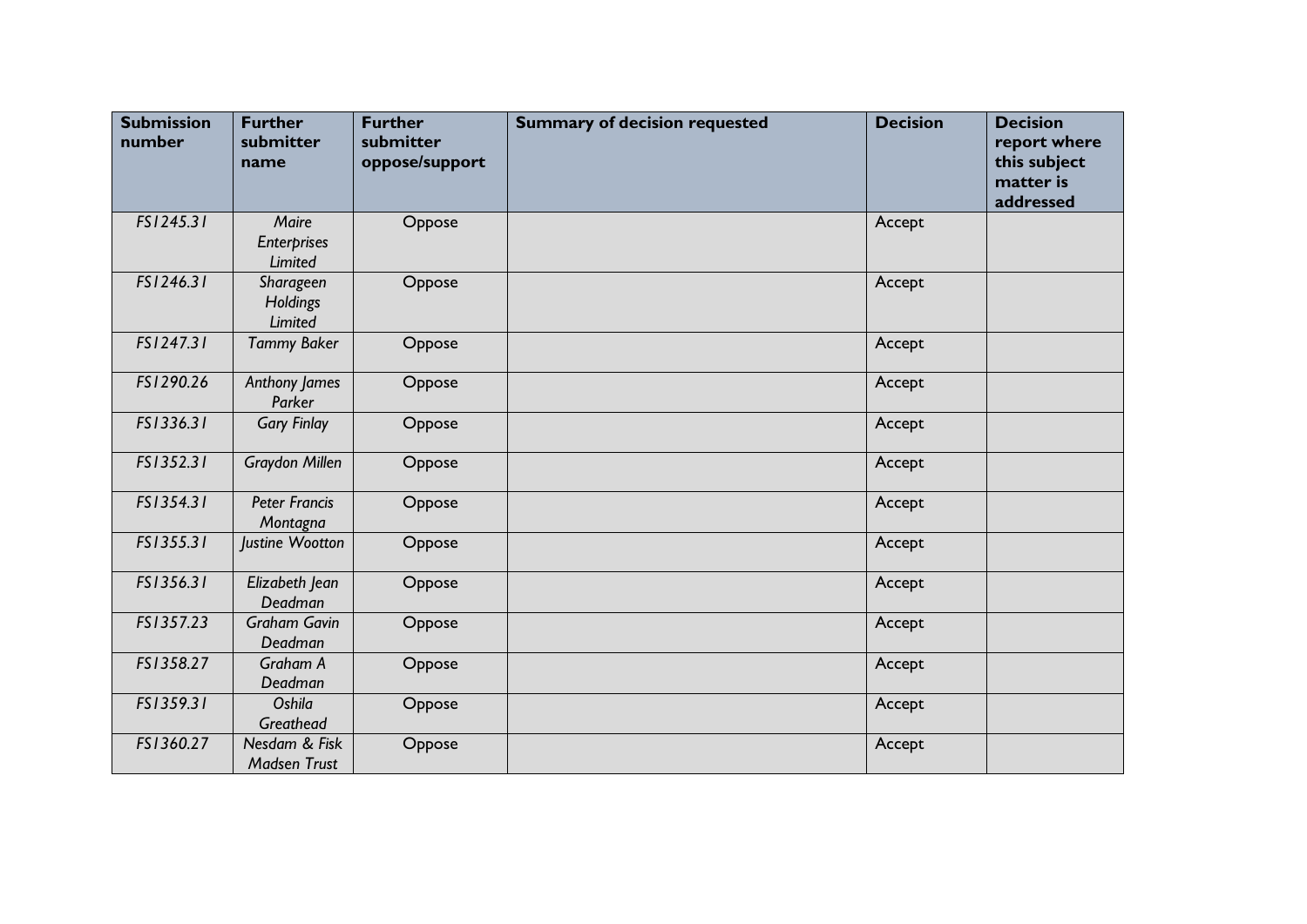| <b>Submission</b><br>number | <b>Further</b><br>submitter<br>name           | <b>Further</b><br>submitter<br>oppose/support | <b>Summary of decision requested</b> | <b>Decision</b> | <b>Decision</b><br>report where<br>this subject<br>matter is<br>addressed |
|-----------------------------|-----------------------------------------------|-----------------------------------------------|--------------------------------------|-----------------|---------------------------------------------------------------------------|
| FS1245.31                   | Maire<br><b>Enterprises</b><br><b>Limited</b> | Oppose                                        |                                      | Accept          |                                                                           |
| FS1246.31                   | Sharageen<br>Holdings<br>Limited              | Oppose                                        |                                      | Accept          |                                                                           |
| FS1247.31                   | <b>Tammy Baker</b>                            | Oppose                                        |                                      | Accept          |                                                                           |
| FS1290.26                   | Anthony James<br>Parker                       | Oppose                                        |                                      | Accept          |                                                                           |
| FS1336.31                   | <b>Gary Finlay</b>                            | Oppose                                        |                                      | Accept          |                                                                           |
| FS1352.31                   | <b>Graydon Millen</b>                         | Oppose                                        |                                      | Accept          |                                                                           |
| FS1354.31                   | <b>Peter Francis</b><br>Montagna              | Oppose                                        |                                      | Accept          |                                                                           |
| FS1355.31                   | Justine Wootton                               | Oppose                                        |                                      | Accept          |                                                                           |
| FS1356.31                   | Elizabeth Jean<br><b>Deadman</b>              | Oppose                                        |                                      | Accept          |                                                                           |
| FS1357.23                   | <b>Graham Gavin</b><br>Deadman                | Oppose                                        |                                      | Accept          |                                                                           |
| FS1358.27                   | Graham A<br>Deadman                           | Oppose                                        |                                      | Accept          |                                                                           |
| FS1359.31                   | Oshila<br>Greathead                           | Oppose                                        |                                      | Accept          |                                                                           |
| FS1360.27                   | Nesdam & Fisk<br><b>Madsen Trust</b>          | Oppose                                        |                                      | Accept          |                                                                           |